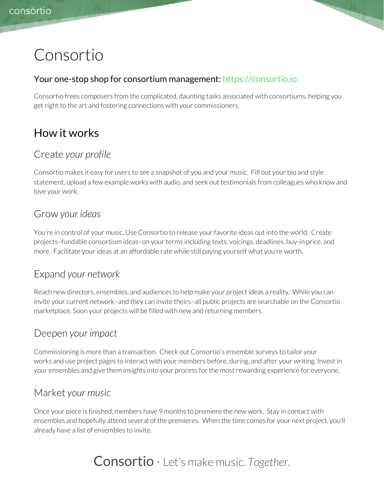# Consortio

#### Your one-stop shop for consortium management: [https://consortio.io](https://consortio.io/)

Consortio frees composers from the complicated, daunting tasks associated with consortiums, helping you get right to the art and fostering connections with your commissioners.

# How it works

### Create *your profile*

Consortio makes it easy for users to see a snapshot of you and your music. Fill out your bio and style statement, upload a few example works with audio, and seek out testimonials from colleagues who know and love your work.

### Grow *your ideas*

You're in control of your music. Use Consortio to release yourfavorite ideas out into the world. Create projects-fundable consortium ideas-on your terms including texts, voicings, deadlines, buy-in price, and more. Facilitate your ideas at an affordable rate while still paying yourself what you're worth.

### Expand *your network*

Reach new directors, ensembles, and audiences to help make your project ideas a reality. While you can invite your current network–and they can invite theirs–all public projects are searchable on the Consortio marketplace. Soon your projects will be filled with new and returning members.

### Deepen *your impact*

Commissioning is more than a transaction. Check out Consortio's ensemble surveys to tailor your works and use project pages to interact with your members before, during, and after your writing. Invest in your ensembles and give them insights into your process for the most rewarding experience for everyone.

### Market *your music*

Once your piece is finished, members have 9 months to premiere the new work. Stay in contact with ensembles and hopefully attend several of the premieres. When the time comes for your next project, you'll already have a list of ensembles to invite.

# Consortio · Let's make music. *Together.*